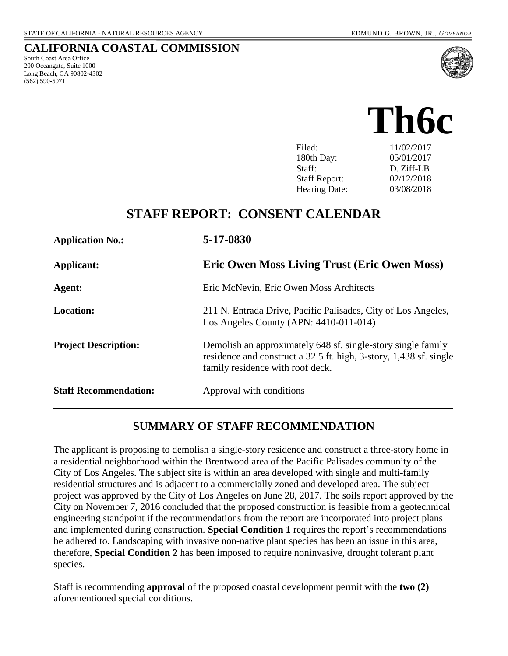#### **CALIFORNIA COASTAL COMMISSION**

South Coast Area Office 200 Oceangate, Suite 1000 Long Beach, CA 90802-4302 (562) 590-5071





180th Day: 05/01/2017 Staff: D. Ziff-LB Staff Report: 02/12/2018 Hearing Date: 03/08/2018

## **STAFF REPORT: CONSENT CALENDAR**

| <b>Application No.:</b>      | 5-17-0830                                                                                                                                                              |
|------------------------------|------------------------------------------------------------------------------------------------------------------------------------------------------------------------|
| Applicant:                   | <b>Eric Owen Moss Living Trust (Eric Owen Moss)</b>                                                                                                                    |
| Agent:                       | Eric McNevin, Eric Owen Moss Architects                                                                                                                                |
| <b>Location:</b>             | 211 N. Entrada Drive, Pacific Palisades, City of Los Angeles,<br>Los Angeles County (APN: $4410-011-014$ )                                                             |
| <b>Project Description:</b>  | Demolish an approximately 648 sf. single-story single family<br>residence and construct a 32.5 ft. high, 3-story, 1,438 sf. single<br>family residence with roof deck. |
| <b>Staff Recommendation:</b> | Approval with conditions                                                                                                                                               |

#### **SUMMARY OF STAFF RECOMMENDATION**

The applicant is proposing to demolish a single-story residence and construct a three-story home in a residential neighborhood within the Brentwood area of the Pacific Palisades community of the City of Los Angeles. The subject site is within an area developed with single and multi-family residential structures and is adjacent to a commercially zoned and developed area. The subject project was approved by the City of Los Angeles on June 28, 2017. The soils report approved by the City on November 7, 2016 concluded that the proposed construction is feasible from a geotechnical engineering standpoint if the recommendations from the report are incorporated into project plans and implemented during construction. **Special Condition 1** requires the report's recommendations be adhered to. Landscaping with invasive non-native plant species has been an issue in this area, therefore, **Special Condition 2** has been imposed to require noninvasive, drought tolerant plant species.

Staff is recommending **approval** of the proposed coastal development permit with the **two (2)** aforementioned special conditions.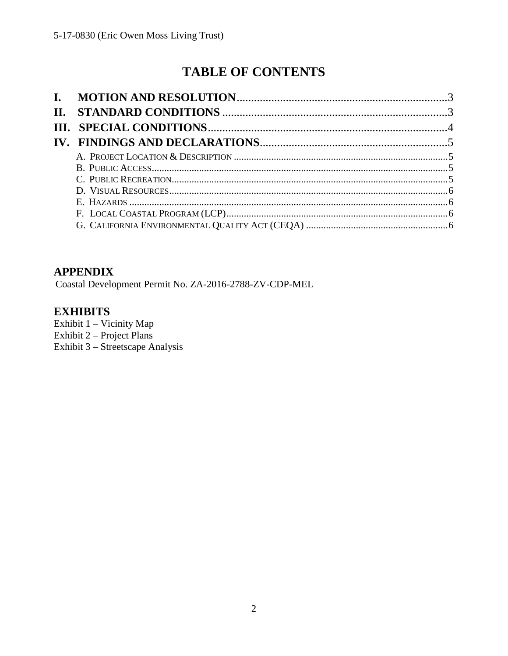# **TABLE OF CONTENTS**

## **APPENDIX**

Coastal Development Permit No. ZA-2016-2788-ZV-CDP-MEL

## **EXHIBITS**

Exhibit 1 - Vicinity Map Exhibit  $2 -$  Project Plans Exhibit 3 - Streetscape Analysis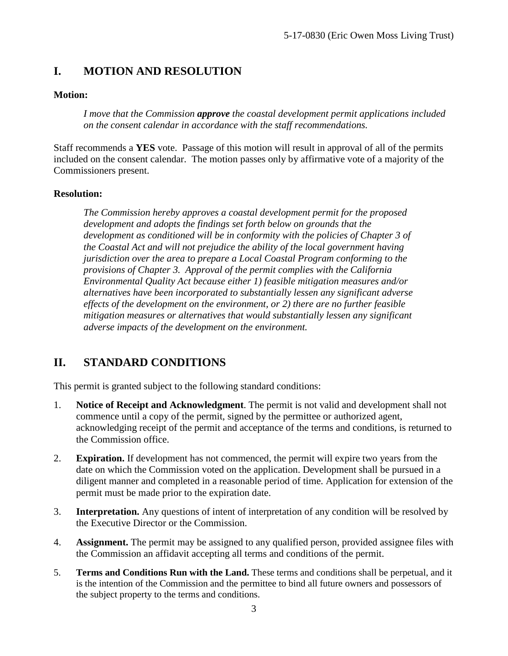## <span id="page-2-0"></span>**I. MOTION AND RESOLUTION**

#### **Motion:**

*I move that the Commission approve the coastal development permit applications included on the consent calendar in accordance with the staff recommendations.*

Staff recommends a **YES** vote. Passage of this motion will result in approval of all of the permits included on the consent calendar. The motion passes only by affirmative vote of a majority of the Commissioners present.

#### **Resolution:**

*The Commission hereby approves a coastal development permit for the proposed development and adopts the findings set forth below on grounds that the development as conditioned will be in conformity with the policies of Chapter 3 of the Coastal Act and will not prejudice the ability of the local government having jurisdiction over the area to prepare a Local Coastal Program conforming to the provisions of Chapter 3. Approval of the permit complies with the California Environmental Quality Act because either 1) feasible mitigation measures and/or alternatives have been incorporated to substantially lessen any significant adverse effects of the development on the environment, or 2) there are no further feasible mitigation measures or alternatives that would substantially lessen any significant adverse impacts of the development on the environment.* 

## <span id="page-2-1"></span>**II. STANDARD CONDITIONS**

This permit is granted subject to the following standard conditions:

- 1. **Notice of Receipt and Acknowledgment**. The permit is not valid and development shall not commence until a copy of the permit, signed by the permittee or authorized agent, acknowledging receipt of the permit and acceptance of the terms and conditions, is returned to the Commission office.
- 2. **Expiration.** If development has not commenced, the permit will expire two years from the date on which the Commission voted on the application. Development shall be pursued in a diligent manner and completed in a reasonable period of time. Application for extension of the permit must be made prior to the expiration date.
- 3. **Interpretation.** Any questions of intent of interpretation of any condition will be resolved by the Executive Director or the Commission.
- 4. **Assignment.** The permit may be assigned to any qualified person, provided assignee files with the Commission an affidavit accepting all terms and conditions of the permit.
- 5. **Terms and Conditions Run with the Land.** These terms and conditions shall be perpetual, and it is the intention of the Commission and the permittee to bind all future owners and possessors of the subject property to the terms and conditions.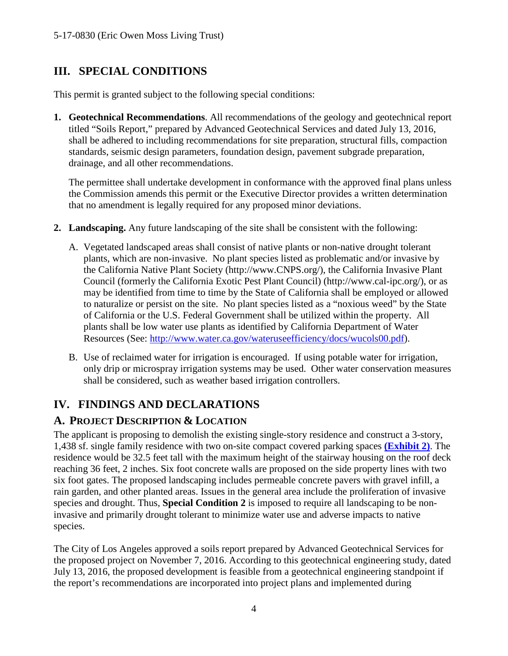## <span id="page-3-0"></span>**III. SPECIAL CONDITIONS**

This permit is granted subject to the following special conditions:

<span id="page-3-1"></span>**1. Geotechnical Recommendations**. All recommendations of the geology and geotechnical report titled "Soils Report," prepared by Advanced Geotechnical Services and dated July 13, 2016, shall be adhered to including recommendations for site preparation, structural fills, compaction standards, seismic design parameters, foundation design, pavement subgrade preparation, drainage, and all other recommendations.

The permittee shall undertake development in conformance with the approved final plans unless the Commission amends this permit or the Executive Director provides a written determination that no amendment is legally required for any proposed minor deviations.

- **2. Landscaping.** Any future landscaping of the site shall be consistent with the following:
	- A. Vegetated landscaped areas shall consist of native plants or non-native drought tolerant plants, which are non-invasive. No plant species listed as problematic and/or invasive by the California Native Plant Society (http://www.CNPS.org/), the California Invasive Plant Council (formerly the California Exotic Pest Plant Council) (http://www.cal-ipc.org/), or as may be identified from time to time by the State of California shall be employed or allowed to naturalize or persist on the site. No plant species listed as a "noxious weed" by the State of California or the U.S. Federal Government shall be utilized within the property. All plants shall be low water use plants as identified by California Department of Water Resources (See: [http://www.water.ca.gov/wateruseefficiency/docs/wucols00.pdf\)](http://www.water.ca.gov/wateruseefficiency/docs/wucols00.pdf).
	- B. Use of reclaimed water for irrigation is encouraged. If using potable water for irrigation, only drip or microspray irrigation systems may be used. Other water conservation measures shall be considered, such as weather based irrigation controllers.

## **IV. FINDINGS AND DECLARATIONS**

#### <span id="page-3-2"></span>**A. PROJECT DESCRIPTION & LOCATION**

The applicant is proposing to demolish the existing single-story residence and construct a 3-story, 1,438 sf. single family residence with two on-site compact covered parking spaces **[\(Exhibit 2\)](https://documents.coastal.ca.gov/reports/2017/8/F6b/F6b-8-2017-exhibits.pdf)**. The residence would be 32.5 feet tall with the maximum height of the stairway housing on the roof deck reaching 36 feet, 2 inches. Six foot concrete walls are proposed on the side property lines with two six foot gates. The proposed landscaping includes permeable concrete pavers with gravel infill, a rain garden, and other planted areas. Issues in the general area include the proliferation of invasive species and drought. Thus, **Special Condition 2** is imposed to require all landscaping to be noninvasive and primarily drought tolerant to minimize water use and adverse impacts to native species.

The City of Los Angeles approved a soils report prepared by Advanced Geotechnical Services for the proposed project on November 7, 2016. According to this geotechnical engineering study, dated July 13, 2016, the proposed development is feasible from a geotechnical engineering standpoint if the report's recommendations are incorporated into project plans and implemented during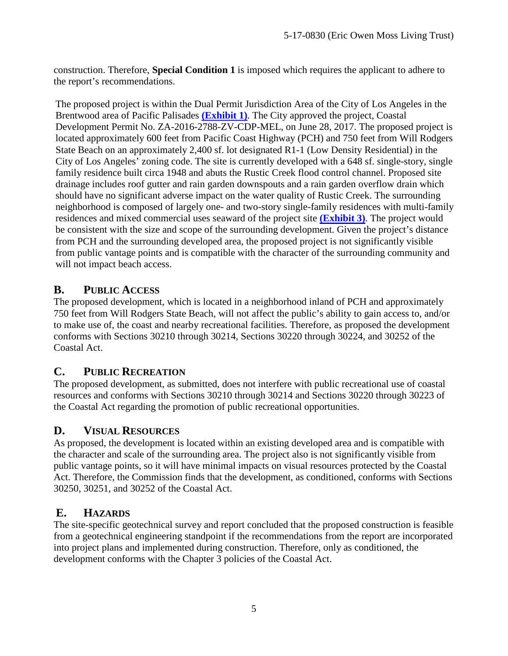construction. Therefore, **Special Condition 1** is imposed which requires the applicant to adhere to the report's recommendations.

The proposed project is within the Dual Permit Jurisdiction Area of the City of Los Angeles in the Brentwood area of Pacific Palisades **[\(Exhibit 1\)](https://documents.coastal.ca.gov/reports/2017/8/F6b/F6b-8-2017-exhibits.pdf)**. The City approved the project, Coastal Development Permit No. ZA-2016-2788-ZV-CDP-MEL, on June 28, 2017. The proposed project is located approximately 600 feet from Pacific Coast Highway (PCH) and 750 feet from Will Rodgers State Beach on an approximately 2,400 sf. lot designated R1-1 (Low Density Residential) in the City of Los Angeles' zoning code. The site is currently developed with a 648 sf. single-story, single family residence built circa 1948 and abuts the Rustic Creek flood control channel. Proposed site drainage includes roof gutter and rain garden downspouts and a rain garden overflow drain which should have no significant adverse impact on the water quality of Rustic Creek. The surrounding neighborhood is composed of largely one- and two-story single-family residences with multi-family residences and mixed commercial uses seaward of the project site **[\(Exhibit 3\)](https://documents.coastal.ca.gov/reports/2017/8/F6b/F6b-8-2017-exhibits.pdf)**. The project would be consistent with the size and scope of the surrounding development. Given the project's distance from PCH and the surrounding developed area, the proposed project is not significantly visible from public vantage points and is compatible with the character of the surrounding community and will not impact beach access.

#### **B. PUBLIC ACCESS**

The proposed development, which is located in a neighborhood inland of PCH and approximately 750 feet from Will Rodgers State Beach, will not affect the public's ability to gain access to, and/or to make use of, the coast and nearby recreational facilities. Therefore, as proposed the development conforms with Sections 30210 through 30214, Sections 30220 through 30224, and 30252 of the Coastal Act.

#### **C. PUBLIC RECREATION**

The proposed development, as submitted, does not interfere with public recreational use of coastal resources and conforms with Sections 30210 through 30214 and Sections 30220 through 30223 of the Coastal Act regarding the promotion of public recreational opportunities.

## **D. VISUAL RESOURCES**

As proposed, the development is located within an existing developed area and is compatible with the character and scale of the surrounding area. The project also is not significantly visible from public vantage points, so it will have minimal impacts on visual resources protected by the Coastal Act. Therefore, the Commission finds that the development, as conditioned, conforms with Sections 30250, 30251, and 30252 of the Coastal Act.

#### **E. HAZARDS**

The site-specific geotechnical survey and report concluded that the proposed construction is feasible from a geotechnical engineering standpoint if the recommendations from the report are incorporated into project plans and implemented during construction. Therefore, only as conditioned, the development conforms with the Chapter 3 policies of the Coastal Act.